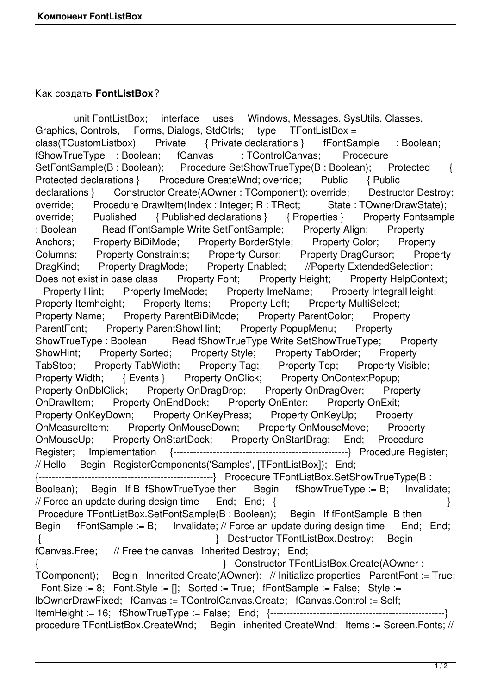## Как создать **FontListBox**?

 unit FontListBox; interface uses Windows, Messages, SysUtils, Classes, Graphics, Controls, Forms, Dialogs, StdCtrls; type TFontListBox = class(TCustomListbox) Private { Private declarations } fFontSa class(TCustomListbox) Private { Private declarations } fFontSample : Boolean; fShowTrueType : Boolean; fCanvas : TControlCanvas; Procedure SetFontSample(B : Boolean); Procedure SetShowTrueType(B : Boolean); Protected { Protected declarations } Procedure CreateWnd; override; Public { Public declarations } Constructor Create(AOwner : TComponent); override; Destructor Destroy; override; Procedure DrawItem(Index : Integer; R : TRect; State : TOwnerDrawState); override; Published { Published declarations } { Properties } Property Fontsample : Boolean Read fFontSample Write SetFontSample; Property Align; Property Anchors; Property BiDiMode; Property BorderStyle; Property Color; Property Columns; Property Constraints; Property Cursor; Property DragCursor; Property DragKind; Property DragMode; Property Enabled; //Poperty ExtendedSelection; Does not exist in base class Property Font; Property Height; Property HelpContext; Property Hint; Property ImeMode; Property ImeName; Property IntegralHeight; Property Itemheight; Property Items; Property Left; Property MultiSelect; Property Name; Property ParentBiDiMode; Property ParentColor; Property ParentFont; Property ParentShowHint; Property PopupMenu; Property ShowTrueType : Boolean Read fShowTrueType Write SetShowTrueType; Property ShowHint; Property Sorted; Property Style; Property TabOrder; Property TabStop; Property TabWidth; Property Tag; Property Top; Property Visible; Property Width; { Events } Property OnClick; Property OnContextPopup; Property OnDblClick; Property OnDragDrop; Property OnDragOver; Property<br>OnDrawItem; Property OnEndDock; Property OnEnter; Property OnExit; OnDrawItem; Property OnEndDock; Property OnEnter; Property OnExit; Property OnKeyDown; Property OnKeyPress; Property OnKeyUp; Property OnMeasureItem; Property OnMouseDown; Property OnMouseMove; Property OnMouseUp; Property OnStartDock; Property OnStartDrag; End; Procedure Register; Implementation {-----------------------------------------------------} Procedure Register; // Hello Begin RegisterComponents('Samples', [TFontListBox]); End; {-----------------------------------------------------} Procedure TFontListBox.SetShowTrueType(B : Boolean); Begin If B fShowTrueType then Begin fShowTrueType := B; Invalidate; // Force an update during design time End; End; {----------------------------------------------------} Procedure TFontListBox.SetFontSample(B : Boolean); Begin If fFontSample B then Begin fFontSample := B; Invalidate; // Force an update during design time End; End; {-----------------------------------------------------} Destructor TFontListBox.Destroy; Begin fCanvas.Free; // Free the canvas Inherited Destroy; End; {--------------------------------------------------------} Constructor TFontListBox.Create(AOwner : TComponent); Begin Inherited Create(AOwner); // Initialize properties ParentFont := True; Font.Size  $:= 8$ ; Font.Style := []; Sorted := True; fFontSample := False; Style := lbOwnerDrawFixed; fCanvas := TControlCanvas.Create; fCanvas.Control := Self;  $ItemHeight := 16;$   $fShowTrueType := False;$   $End;$   $\{-1, 1, 2, 3, \ldots, 4\}$ procedure TFontListBox.CreateWnd; Begin inherited CreateWnd; Items := Screen.Fonts; //